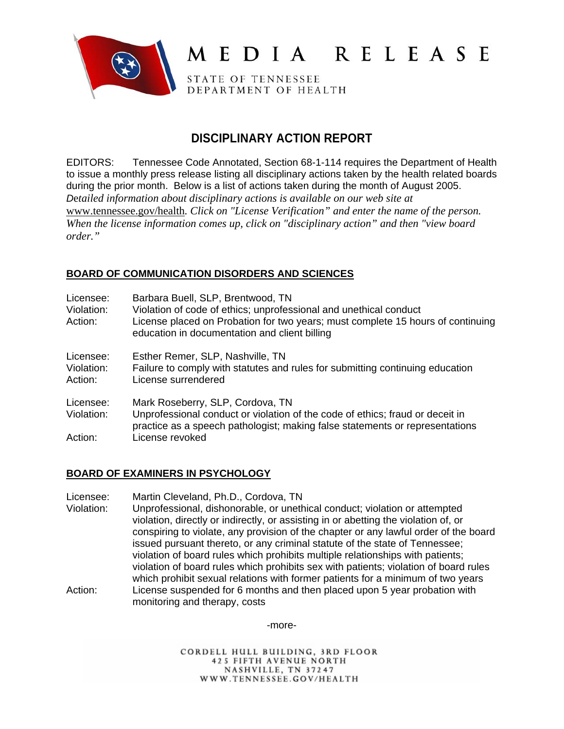

# MEDIA RELEASE

STATE OF TENNESSEE DEPARTMENT OF HEALTH

# **DISCIPLINARY ACTION REPORT**

EDITORS: Tennessee Code Annotated, Section 68-1-114 requires the Department of Health to issue a monthly press release listing all disciplinary actions taken by the health related boards during the prior month. Below is a list of actions taken during the month of August 2005. *D*e*tailed information about disciplinary actions is available on our web site at*  www.tennessee.gov/health*. Click on "License Verification" and enter the name of the person. When the license information comes up, click on "disciplinary action" and then "view board order."* 

# **BOARD OF COMMUNICATION DISORDERS AND SCIENCES**

| Licensee:<br>Violation:<br>Action: | Barbara Buell, SLP, Brentwood, TN<br>Violation of code of ethics; unprofessional and unethical conduct<br>License placed on Probation for two years; must complete 15 hours of continuing<br>education in documentation and client billing |
|------------------------------------|--------------------------------------------------------------------------------------------------------------------------------------------------------------------------------------------------------------------------------------------|
| Licensee:<br>Violation:<br>Action: | Esther Remer, SLP, Nashville, TN<br>Failure to comply with statutes and rules for submitting continuing education<br>License surrendered                                                                                                   |
| Licensee:<br>Violation:<br>Action: | Mark Roseberry, SLP, Cordova, TN<br>Unprofessional conduct or violation of the code of ethics; fraud or deceit in<br>practice as a speech pathologist; making false statements or representations<br>License revoked                       |

# **BOARD OF EXAMINERS IN PSYCHOLOGY**

Licensee: Martin Cleveland, Ph.D., Cordova, TN

Violation: Unprofessional, dishonorable, or unethical conduct; violation or attempted violation, directly or indirectly, or assisting in or abetting the violation of, or conspiring to violate, any provision of the chapter or any lawful order of the board issued pursuant thereto, or any criminal statute of the state of Tennessee; violation of board rules which prohibits multiple relationships with patients; violation of board rules which prohibits sex with patients; violation of board rules which prohibit sexual relations with former patients for a minimum of two years Action: License suspended for 6 months and then placed upon 5 year probation with monitoring and therapy, costs

-more-

CORDELL HULL BUILDING, 3RD FLOOR **425 FIFTH AVENUE NORTH** NASHVILLE, TN 37247 WWW.TENNESSEE.GOV/HEALTH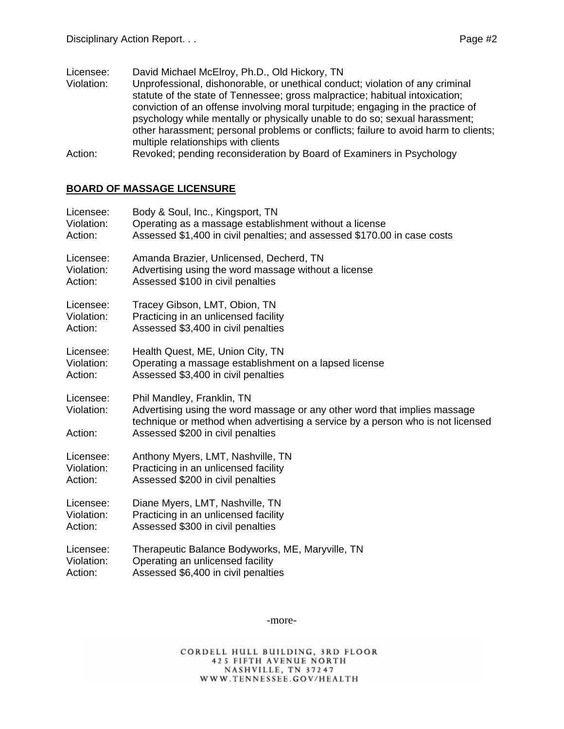Licensee: David Michael McElroy, Ph.D., Old Hickory, TN

- Violation: Unprofessional, dishonorable, or unethical conduct; violation of any criminal statute of the state of Tennessee; gross malpractice; habitual intoxication; conviction of an offense involving moral turpitude; engaging in the practice of psychology while mentally or physically unable to do so; sexual harassment; other harassment; personal problems or conflicts; failure to avoid harm to clients; multiple relationships with clients
- Action: Revoked; pending reconsideration by Board of Examiners in Psychology

# **BOARD OF MASSAGE LICENSURE**

| Licensee:                          | Body & Soul, Inc., Kingsport, TN                                                                                                                                                                                               |
|------------------------------------|--------------------------------------------------------------------------------------------------------------------------------------------------------------------------------------------------------------------------------|
| Violation:                         | Operating as a massage establishment without a license                                                                                                                                                                         |
| Action:                            | Assessed \$1,400 in civil penalties; and assessed \$170.00 in case costs                                                                                                                                                       |
| Licensee:                          | Amanda Brazier, Unlicensed, Decherd, TN                                                                                                                                                                                        |
| Violation:                         | Advertising using the word massage without a license                                                                                                                                                                           |
| Action:                            | Assessed \$100 in civil penalties                                                                                                                                                                                              |
| Licensee:                          | Tracey Gibson, LMT, Obion, TN                                                                                                                                                                                                  |
| Violation:                         | Practicing in an unlicensed facility                                                                                                                                                                                           |
| Action:                            | Assessed \$3,400 in civil penalties                                                                                                                                                                                            |
| Licensee:                          | Health Quest, ME, Union City, TN                                                                                                                                                                                               |
| Violation:                         | Operating a massage establishment on a lapsed license                                                                                                                                                                          |
| Action:                            | Assessed \$3,400 in civil penalties                                                                                                                                                                                            |
| Licensee:<br>Violation:<br>Action: | Phil Mandley, Franklin, TN<br>Advertising using the word massage or any other word that implies massage<br>technique or method when advertising a service by a person who is not licensed<br>Assessed \$200 in civil penalties |
| Licensee:                          | Anthony Myers, LMT, Nashville, TN                                                                                                                                                                                              |
| Violation:                         | Practicing in an unlicensed facility                                                                                                                                                                                           |
| Action:                            | Assessed \$200 in civil penalties                                                                                                                                                                                              |
| Licensee:                          | Diane Myers, LMT, Nashville, TN                                                                                                                                                                                                |
| Violation:                         | Practicing in an unlicensed facility                                                                                                                                                                                           |
| Action:                            | Assessed \$300 in civil penalties                                                                                                                                                                                              |
| Licensee:                          | Therapeutic Balance Bodyworks, ME, Maryville, TN                                                                                                                                                                               |
| Violation:                         | Operating an unlicensed facility                                                                                                                                                                                               |
| Action:                            | Assessed \$6,400 in civil penalties                                                                                                                                                                                            |

-more-

CORDELL HULL BUILDING, 3RD FLOOR **425 FIFTH AVENUE NORTH** NASHVILLE, TN 37247 WWW.TENNESSEE.GOV/HEALTH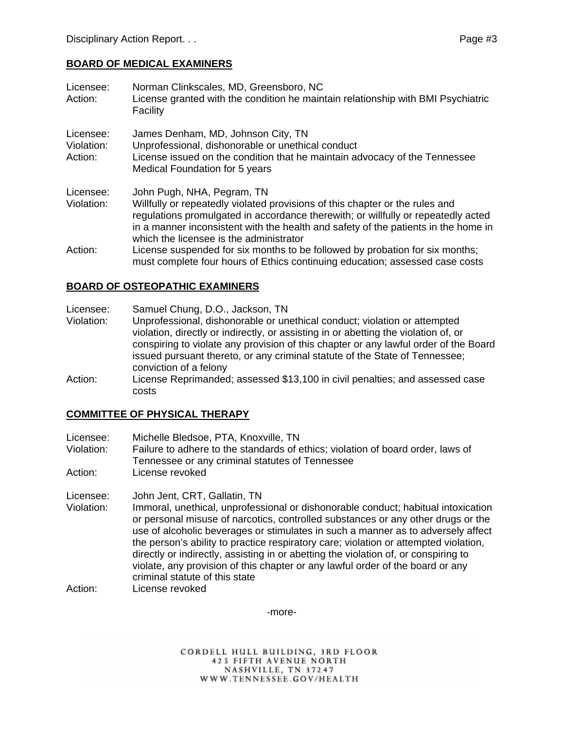# **BOARD OF MEDICAL EXAMINERS**

| Licensee:<br>Action:               | Norman Clinkscales, MD, Greensboro, NC<br>License granted with the condition he maintain relationship with BMI Psychiatric<br>Facility                                                                                                                                                                                           |
|------------------------------------|----------------------------------------------------------------------------------------------------------------------------------------------------------------------------------------------------------------------------------------------------------------------------------------------------------------------------------|
| Licensee:<br>Violation:<br>Action: | James Denham, MD, Johnson City, TN<br>Unprofessional, dishonorable or unethical conduct<br>License issued on the condition that he maintain advocacy of the Tennessee<br>Medical Foundation for 5 years                                                                                                                          |
| Licensee:<br>Violation:            | John Pugh, NHA, Pegram, TN<br>Willfully or repeatedly violated provisions of this chapter or the rules and<br>regulations promulgated in accordance therewith; or willfully or repeatedly acted<br>in a manner inconsistent with the health and safety of the patients in the home in<br>which the licensee is the administrator |
| Action:                            | License suspended for six months to be followed by probation for six months;<br>must complete four hours of Ethics continuing education; assessed case costs                                                                                                                                                                     |

#### **BOARD OF OSTEOPATHIC EXAMINERS**

- Licensee: Samuel Chung, D.O., Jackson, TN
- Violation: Unprofessional, dishonorable or unethical conduct; violation or attempted violation, directly or indirectly, or assisting in or abetting the violation of, or conspiring to violate any provision of this chapter or any lawful order of the Board issued pursuant thereto, or any criminal statute of the State of Tennessee; conviction of a felony
- Action: License Reprimanded; assessed \$13,100 in civil penalties; and assessed case costs

#### **COMMITTEE OF PHYSICAL THERAPY**

- Licensee: Michelle Bledsoe, PTA, Knoxville, TN
- Violation: Failure to adhere to the standards of ethics; violation of board order, laws of Tennessee or any criminal statutes of Tennessee
- Action: License revoked

Licensee: John Jent, CRT, Gallatin, TN

- Violation: Immoral, unethical, unprofessional or dishonorable conduct; habitual intoxication or personal misuse of narcotics, controlled substances or any other drugs or the use of alcoholic beverages or stimulates in such a manner as to adversely affect the person's ability to practice respiratory care; violation or attempted violation, directly or indirectly, assisting in or abetting the violation of, or conspiring to violate, any provision of this chapter or any lawful order of the board or any criminal statute of this state
- Action: License revoked

-more-

CORDELL HULL BUILDING, 3RD FLOOR **425 FIFTH AVENUE NORTH** NASHVILLE, TN 37247 WWW.TENNESSEE.GOV/HEALTH